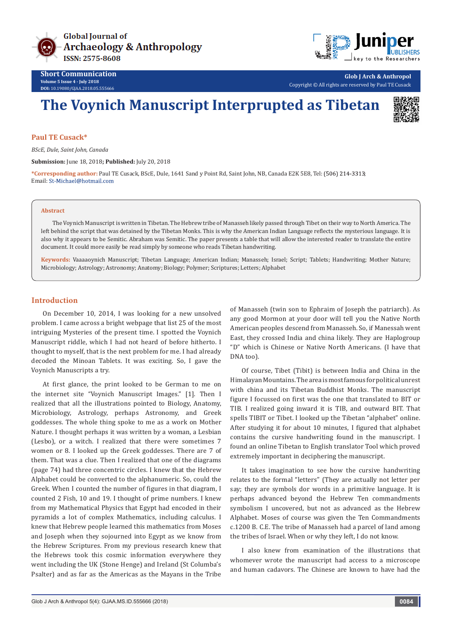



**Glob J Arch & Anthropol** Copyright © All rights are reserved by Paul TE Cusack

# **The Voynich Manuscript Interprupted as Tibetan**



## **Paul TE Cusack\***

*BScE, Dule, Saint John, Canada*

**Submission:** June 18, 2018**; Published:** July 20, 2018

**\*Corresponding author:** Paul TE Cusack, BScE, Dule, 1641 Sand y Point Rd, Saint John, NB, Canada E2K 5E8, Tel: ; Email: St-Michael@hotmail.com

#### **Abstract**

The Voynich Manuscript is written in Tibetan. The Hebrew tribe of Manasseh likely passed through Tibet on their way to North America. The left behind the script that was detained by the Tibetan Monks. This is why the American Indian Language reflects the mysterious language. It is also why it appears to be Semitic. Abraham was Semitic. The paper presents a table that will allow the interested reader to translate the entire document. It could more easily be read simply by someone who reads Tibetan handwriting.

**Keywords:** Vaaaaoynich Manuscript; Tibetan Language; American Indian; Manasseh; Israel; Script; Tablets; Handwriting; Mother Nature; Microbiology; Astrology; Astronomy; Anatomy; Biology; Polymer; Scriptures; Letters; Alphabet

## **Introduction**

On December 10, 2014, I was looking for a new unsolved problem. I came across a bright webpage that list 25 of the most intriguing Mysteries of the present time. I spotted the Voynich Manuscript riddle, which I had not heard of before hitherto. I thought to myself, that is the next problem for me. I had already decoded the Minoan Tablets. It was exciting. So, I gave the Voynich Manuscripts a try.

At first glance, the print looked to be German to me on the internet site "Voynich Manuscript Images." [1]. Then I realized that all the illustrations pointed to Biology, Anatomy, Microbiology, Astrology, perhaps Astronomy, and Greek goddesses. The whole thing spoke to me as a work on Mother Nature. I thought perhaps it was written by a woman, a Lesbian (Lesbo), or a witch. I realized that there were sometimes 7 women or 8. I looked up the Greek goddesses. There are 7 of them. That was a clue. Then I realized that one of the diagrams (page 74) had three concentric circles. I knew that the Hebrew Alphabet could be converted to the alphanumeric. So, could the Greek. When I counted the number of figures in that diagram, I counted 2 Fish, 10 and 19. I thought of prime numbers. I knew from my Mathematical Physics that Egypt had encoded in their pyramids a lot of complex Mathematics, including calculus. I knew that Hebrew people learned this mathematics from Moses and Joseph when they sojourned into Egypt as we know from the Hebrew Scriptures. From my previous research knew that the Hebrews took this cosmic information everywhere they went including the UK (Stone Henge) and Ireland (St Columba's Psalter) and as far as the Americas as the Mayans in the Tribe

of Manasseh (twin son to Ephraim of Joseph the patriarch). As any good Mormon at your door will tell you the Native North American peoples descend from Manasseh. So, if Manessah went East, they crossed India and china likely. They are Haplogroup "D" which is Chinese or Native North Americans. (I have that DNA too).

Of course, Tibet (Tibit) is between India and China in the Himalayan Mountains. The area is most famous for political unrest with china and its Tibetan Buddhist Monks. The manuscript figure I focussed on first was the one that translated to BIT or TIB. I realized going inward it is TIB, and outward BIT. That spells TIBIT or Tibet. I looked up the Tibetan "alphabet" online. After studying it for about 10 minutes, I figured that alphabet contains the cursive handwriting found in the manuscript. I found an online Tibetan to English translator Tool which proved extremely important in deciphering the manuscript.

It takes imagination to see how the cursive handwriting relates to the formal "letters" (They are actually not letter per say; they are symbols dor words in a primitive language. It is perhaps advanced beyond the Hebrew Ten commandments symbolism I uncovered, but not as advanced as the Hebrew Alphabet. Moses of course was given the Ten Commandments c.1200 B. C.E. The tribe of Manasseh had a parcel of land among the tribes of Israel. When or why they left, I do not know.

I also knew from examination of the illustrations that whomever wrote the manuscript had access to a microscope and human cadavors. The Chinese are known to have had the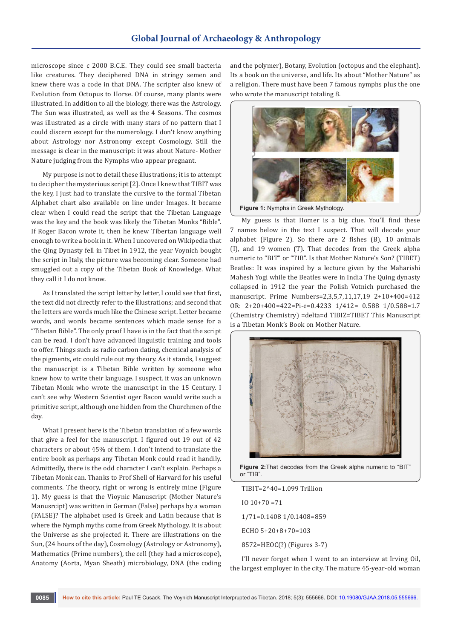microscope since c 2000 B.C.E. They could see small bacteria like creatures. They deciphered DNA in stringy semen and knew there was a code in that DNA. The scripter also knew of Evolution from Octopus to Horse. Of course, many plants were illustrated. In addition to all the biology, there was the Astrology. The Sun was illustrated, as well as the 4 Seasons. The cosmos was illustrated as a circle with many stars of no pattern that I could discern except for the numerology. I don't know anything about Astrology nor Astronomy except Cosmology. Still the message is clear in the manuscript: it was about Nature- Mother Nature judging from the Nymphs who appear pregnant.

My purpose is not to detail these illustrations; it is to attempt to decipher the mysterious script [2]. Once I knew that TIBIT was the key, I just had to translate the cursive to the formal Tibetan Alphabet chart also available on line under Images. It became clear when I could read the script that the Tibetan Language was the key and the book was likely the Tibetan Monks "Bible". If Roger Bacon wrote it, then he knew Tibertan language well enough to write a book in it. When I uncovered on Wikipedia that the Qing Dynasty fell in Tibet in 1912, the year Voynich bought the script in Italy, the picture was becoming clear. Someone had smuggled out a copy of the Tibetan Book of Knowledge. What they call it I do not know.

As I translated the script letter by letter, I could see that first, the text did not directly refer to the illustrations; and second that the letters are words much like the Chinese script. Letter became words, and words became sentences which made sense for a "Tibetan Bible". The only proof I have is in the fact that the script can be read. I don't have advanced linguistic training and tools to offer. Things such as radio carbon dating, chemical analysis of the pigments, etc could rule out my theory. As it stands, I suggest the manuscript is a Tibetan Bible written by someone who knew how to write their language. I suspect, it was an unknown Tibetan Monk who wrote the manuscript in the 15 Century. I can't see why Western Scientist oger Bacon would write such a primitive script, although one hidden from the Churchmen of the day.

What I present here is the Tibetan translation of a few words that give a feel for the manuscript. I figured out 19 out of 42 characters or about 45% of them. I don't intend to translate the entire book as perhaps any Tibetan Monk could read it handily. Admittedly, there is the odd character I can't explain. Perhaps a Tibetan Monk can. Thanks to Prof Shell of Harvard for his useful comments. The theory, right or wrong is entirely mine (Figure 1). My guess is that the Vioynic Manuscript (Mother Nature's Manusrcipt) was written in German (False) perhaps by a woman (FALSE)? The alphabet used is Greek and Latin because that is where the Nymph myths come from Greek Mythology. It is about the Universe as she projected it. There are illustrations on the Sun, (24 hours of the day), Cosmology (Astrology or Astronomy), Mathematics (Prime numbers), the cell (they had a microscope), Anatomy (Aorta, Myan Sheath) microbiology, DNA (the coding and the polymer), Botany, Evolution (octopus and the elephant). Its a book on the universe, and life. Its about "Mother Nature" as a religion. There must have been 7 famous nymphs plus the one who wrote the manuscript totaling 8.



My guess is that Homer is a big clue. You'll find these 7 names below in the text I suspect. That will decode your alphabet (Figure 2). So there are 2 fishes (B), 10 animals (I), and 19 women (T). That decodes from the Greek alpha numeric to "BIT" or "TIB". Is that Mother Nature's Son? (TIBET) Beatles: It was inspired by a lecture given by the Maharishi Mahesh Yogi while the Beatles were in India The Quing dynasty collapsed in 1912 the year the Polish Votnich purchased the manuscript. Prime Numbers=2,3,5,7,11,17,19 2+10+400=412 OR: 2+20+400=422=Pi-e=0.4233 1/412= 0.588 1/0.588=1.7 (Chemistry Chemistry) =delta=d TIBIZ=TIBET This Manuscript is a Tibetan Monk's Book on Mother Nature.



**Figure 2:**That decodes from the Greek alpha numeric to "BIT" or "TIB".

TIBIT=2^40=1.099 Trillion IO 10+70 =71 1/71=0.1408 1/0.1408=859 ECHO 5+20+8+70=103 8572=HEOC(?) (Figures 3-7)

I'll never forget when I went to an interview at Irving Oil, the largest employer in the city. The mature 45-year-old woman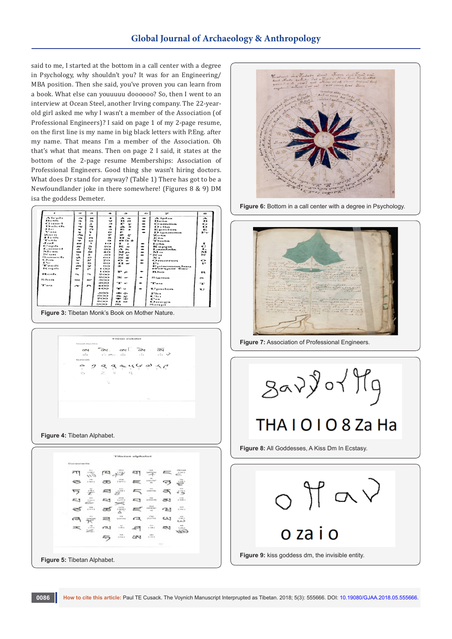# **Global Journal of Archaeology & Anthropology**

said to me, I started at the bottom in a call center with a degree in Psychology, why shouldn't you? It was for an Engineering/ MBA position. Then she said, you've proven you can learn from a book. What else can youuuuu doooooo? So, then I went to an interview at Ocean Steel, another Irving company. The 22-yearold girl asked me why I wasn't a member of the Association (of Professional Engineers)? I said on page 1 of my 2-page resume, on the first line is my name in big black letters with P.Eng. after my name. That means I'm a member of the Association. Oh that's what that means. Then on page 2 I said, it states at the bottom of the 2-page resume Memberships: Association of Professional Engineers. Good thing she wasn't hiring doctors. What does Dr stand for anyway? (Table 1) There has got to be a Newfoundlander joke in there somewhere! (Figures 8 & 9) DM isa the goddess Demeter.



**Figure 3:** Tibetan Monk's Book on Mother Nature.



**Figure 4:** Tibetan Alphabet.





**Figure 6:** Bottom in a call center with a degree in Psychology.



**Figure 7:** Association of Professional Engineers.

 $3a\overline{v}$  or  $\overline{\mu}$ 

THAIOIO8Za Ha

**Figure 8:** All Goddesses, A Kiss Dm In Ecstasy.

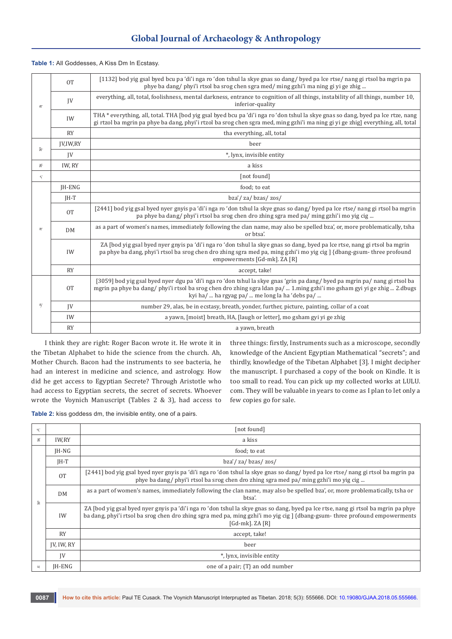# **Table 1:** All Goddesses, A Kiss Dm In Ecstasy.

|           | 0T            | [1132] bod yig gsal byed bcu pa 'di'i nga ro 'don tshul la skye gnas so dang/byed pa lce rtse/ nang gi rtsol ba mgrin pa<br>phye ba dang/phyi'i rtsol ba srog chen sgra med/ming gzhi'i ma ning gi yi ge zhig                                                                                           |  |  |  |  |
|-----------|---------------|---------------------------------------------------------------------------------------------------------------------------------------------------------------------------------------------------------------------------------------------------------------------------------------------------------|--|--|--|--|
| E.        | JV            | everything, all, total, foolishness, mental darkness, entrance to cognition of all things, instability of all things, number 10,<br>inferior-quality                                                                                                                                                    |  |  |  |  |
|           | IW            | THA * everything, all, total. THA [bod yig gsal byed bcu pa 'di'i nga ro 'don tshul la skye gnas so dang, byed pa lce rtze, nang<br>gi rtzol ba mgrin pa phye ba dang, phyi'i rtzol ba srog chen sgra med, ming gzhi'i ma ning gi yi ge zhig] everything, all, total                                    |  |  |  |  |
|           | <b>RY</b>     | tha everything, all, total                                                                                                                                                                                                                                                                              |  |  |  |  |
| ন্ত্রি    | JV, IW, RY    | beer                                                                                                                                                                                                                                                                                                    |  |  |  |  |
|           | JV            | *, lynx, invisible entity                                                                                                                                                                                                                                                                               |  |  |  |  |
| 酊         | IW, RY        | a kiss                                                                                                                                                                                                                                                                                                  |  |  |  |  |
| $\preceq$ | [not found]   |                                                                                                                                                                                                                                                                                                         |  |  |  |  |
|           | <b>IH-ENG</b> | food; to eat                                                                                                                                                                                                                                                                                            |  |  |  |  |
|           | $IH-T$        | bza'/za/bzas/zos/                                                                                                                                                                                                                                                                                       |  |  |  |  |
|           | <b>OT</b>     | [2441] bod yig gsal byed nyer gnyis pa 'di'i nga ro 'don tshul la skye gnas so dang/ byed pa lce rtse/ nang gi rtsol ba mgrin<br>pa phye ba dang/phyi'i rtsol ba srog chen dro zhing sgra med pa/ming gzhi'i mo yig cig                                                                                 |  |  |  |  |
| E.        | <b>DM</b>     | as a part of women's names, immediately following the clan name, may also be spelled bza', or, more problematically, tsha<br>or btsa'.                                                                                                                                                                  |  |  |  |  |
|           | IW            | ZA [bod yig gsal byed nyer gnyis pa 'di'i nga ro 'don tshul la skye gnas so dang, byed pa lce rtse, nang gi rtsol ba mgrin<br>pa phye ba dang, phyi'i rtsol ba srog chen dro zhing sgra med pa, ming gzhi'i mo yig cig ] {dbang-gsum-three profound<br>empowerments [Gd-mk]. ZA [R]                     |  |  |  |  |
|           | <b>RY</b>     | accept, take!                                                                                                                                                                                                                                                                                           |  |  |  |  |
|           | <b>OT</b>     | [3059] bod yig gsal byed nyer dgu pa 'di'i nga ro 'don tshul la skye gnas 'grin pa dang/ byed pa mgrin pa/nang gi rtsol ba<br>mgrin pa phye ba dang/phyi'i rtsol ba srog chen dro zhing sgra ldan pa/  1.ming gzhi'i mo gsham gyi yi ge zhig  2.dbugs<br>kyi ha/  ha rgyag pa/  me long la ha 'debs pa/ |  |  |  |  |
| 5.        | IV            | number 29, alas, be in ecstasy, breath, yonder, further, picture, painting, collar of a coat                                                                                                                                                                                                            |  |  |  |  |
|           | IW            | a yawn, [moist] breath, HA, [laugh or letter], mo gsham gyi yi ge zhig                                                                                                                                                                                                                                  |  |  |  |  |
|           | <b>RY</b>     | a yawn, breath                                                                                                                                                                                                                                                                                          |  |  |  |  |

 I think they are right: Roger Bacon wrote it. He wrote it in the Tibetan Alphabet to hide the science from the church. Ah, Mother Church. Bacon had the instruments to see bacteria, he had an interest in medicine and science, and astrology. How did he get access to Egyptian Secrete? Through Aristotle who had access to Egyptian secrets, the secret of secrets. Whoever wrote the Voynich Manuscript (Tables 2 & 3), had access to

three things: firstly, Instruments such as a microscope, secondly knowledge of the Ancient Egyptian Mathematical "secrets"; and thirdly, knowledge of the Tibetan Alphabet [3]. I might decipher the manuscript. I purchased a copy of the book on Kindle. It is too small to read. You can pick up my collected works at LULU. com. They will be valuable in years to come as I plan to let only a few copies go for sale.

**Table 2:** kiss goddess dm, the invisible entity, one of a pairs.

| Ч.   |            | [not found]                                                                                                                                                                                                                                                                              |  |  |  |  |  |  |
|------|------------|------------------------------------------------------------------------------------------------------------------------------------------------------------------------------------------------------------------------------------------------------------------------------------------|--|--|--|--|--|--|
| 窗    | IW,RY      | a kiss                                                                                                                                                                                                                                                                                   |  |  |  |  |  |  |
|      | JH-NG      | food; to eat                                                                                                                                                                                                                                                                             |  |  |  |  |  |  |
|      | $IH-T$     | bza'/za/bzas/zos/                                                                                                                                                                                                                                                                        |  |  |  |  |  |  |
|      | <b>OT</b>  | [2441] bod yig gsal byed nyer gnyis pa 'di'i nga ro 'don tshul la skye gnas so dang/byed pa lce rtse/nang gi rtsol ba mgrin pa<br>phye ba dang/ phyi'i rtsol ba srog chen dro zhing sgra med pa/ ming gzhi'i mo yig cig                                                                  |  |  |  |  |  |  |
| ন্তি | DM         | as a part of women's names, immediately following the clan name, may also be spelled bza', or, more problematically, tsha or<br>btsa'.                                                                                                                                                   |  |  |  |  |  |  |
|      | IW         | ZA [bod yig gsal byed nyer gnyis pa 'di'i nga ro 'don tshul la skye gnas so dang, byed pa lce rtse, nang gi rtsol ba mgrin pa phye<br>ba dang, phyi'i rtsol ba srog chen dro zhing sgra med pa, ming gzhi'i mo yig cig   {dbang-gsum-three profound empowerments<br>$[Gd-mk]$ . ZA $[R]$ |  |  |  |  |  |  |
|      | <b>RY</b>  | accept, take!                                                                                                                                                                                                                                                                            |  |  |  |  |  |  |
|      | JV, IW, RY | beer                                                                                                                                                                                                                                                                                     |  |  |  |  |  |  |
|      | IV         | *, lynx, invisible entity                                                                                                                                                                                                                                                                |  |  |  |  |  |  |
| Щ    | JH-ENG     | one of a pair; {T} an odd number                                                                                                                                                                                                                                                         |  |  |  |  |  |  |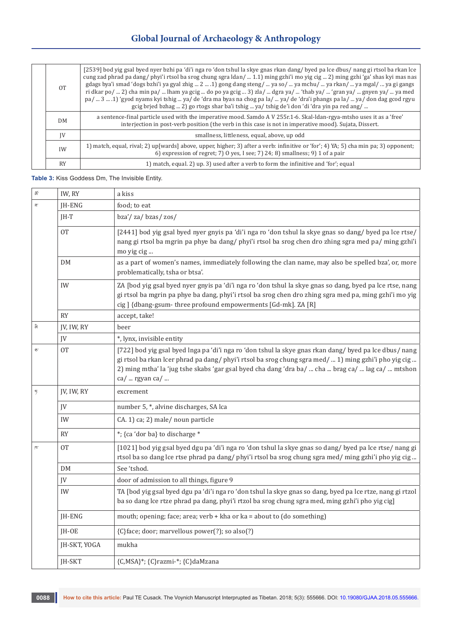# **Global Journal of Archaeology & Anthropology**

|  | O <sub>T</sub> | [2539] bod yig gsal byed nyer bzhi pa 'di'i nga ro 'don tshul la skye gnas rkan dang/byed pa lce dbus/nang gi rtsol ba rkan lce<br>cung zad phrad pa dang/ phyi'i rtsol ba srog chung sgra ldan/  1.1) ming gzhi'i mo yig cig  2) ming gzhi 'ga' shas kyi mas nas<br>gdags bya'i smad 'dogs bzhi'i ya gyal zhig  2  .1) gong dang steng/  ya so/  ya mchu/  ya rkan/  ya mgal/  ya gi gangs<br>ri dkar po/  2) cha min pa/  lham ya gcig  do po ya gcig  3) zla/  dgra ya/  'thab ya/  'gran ya/  gnyen ya/  ya med<br>pa/  3  . 1) 'gyod nyams kyi tshig  ya/ de 'dra ma byas na chog pa la/  ya/ de 'dra'i phangs pa la/  ya/ don dag gcod rgyu<br>gcig brjed bzhag  2) go rtogs shar ba'i tshig  ya/ tshig de'i don 'di 'dra yin pa red ang/ |
|--|----------------|-------------------------------------------------------------------------------------------------------------------------------------------------------------------------------------------------------------------------------------------------------------------------------------------------------------------------------------------------------------------------------------------------------------------------------------------------------------------------------------------------------------------------------------------------------------------------------------------------------------------------------------------------------------------------------------------------------------------------------------------------|
|  | <b>DM</b>      | a sentence-final particle used with the imperative mood. Samdo A V 255r.1-6. Skal-Idan-rgya-mtsho uses it as a 'free'<br>interjection in post-verb position (the verb in this case is not in imperative mood). Sujata, Dissert.                                                                                                                                                                                                                                                                                                                                                                                                                                                                                                                 |
|  | IV             | smallness, littleness, equal, above, up odd                                                                                                                                                                                                                                                                                                                                                                                                                                                                                                                                                                                                                                                                                                     |
|  | IW             | 1) match, equal, rival; 2) up [wards] above, upper, higher; 3) after a verb: infinitive or 'for'; 4) YA; 5) cha min pa; 3) opponent;<br>6) expression of regret; 7) 0 yes, I see; 7) 24; 8) smallness; 9) 1 of a pair                                                                                                                                                                                                                                                                                                                                                                                                                                                                                                                           |
|  | <b>RY</b>      | 1) match, equal. 2) up. 3) used after a verb to form the infinitive and 'for'; equal                                                                                                                                                                                                                                                                                                                                                                                                                                                                                                                                                                                                                                                            |

# **Table 3:** Kiss Goddess Dm, The Invisible Entity.

| 面              | IW, RY       | a kiss                                                                                                                                                                                                                                                                                                                                |
|----------------|--------------|---------------------------------------------------------------------------------------------------------------------------------------------------------------------------------------------------------------------------------------------------------------------------------------------------------------------------------------|
| E.             | JH-ENG       | food; to eat                                                                                                                                                                                                                                                                                                                          |
|                | JH-T         | bza'/za/bzas/zos/                                                                                                                                                                                                                                                                                                                     |
|                | <b>OT</b>    | [2441] bod yig gsal byed nyer gnyis pa 'di'i nga ro 'don tshul la skye gnas so dang/ byed pa lce rtse/<br>nang gi rtsol ba mgrin pa phye ba dang/ phyi'i rtsol ba srog chen dro zhing sgra med pa/ ming gzhi'i<br>mo yig cig                                                                                                          |
|                | <b>DM</b>    | as a part of women's names, immediately following the clan name, may also be spelled bza', or, more<br>problematically, tsha or btsa'.                                                                                                                                                                                                |
|                | IW           | ZA [bod yig gsal byed nyer gnyis pa 'di'i nga ro 'don tshul la skye gnas so dang, byed pa lce rtse, nang<br>gi rtsol ba mgrin pa phye ba dang, phyi'i rtsol ba srog chen dro zhing sgra med pa, ming gzhi'i mo yig<br>cig] {dbang-gsum-three profound empowerments [Gd-mk]. ZA [R]                                                    |
|                | <b>RY</b>    | accept, take!                                                                                                                                                                                                                                                                                                                         |
| ন্ত            | JV, IW, RY   | beer                                                                                                                                                                                                                                                                                                                                  |
|                | JV           | *, lynx, invisible entity                                                                                                                                                                                                                                                                                                             |
| ₹.             | <b>OT</b>    | [722] bod yig gsal byed lnga pa 'di'i nga ro 'don tshul la skye gnas rkan dang/ byed pa lce dbus/ nang<br>gi rtsol ba rkan lcer phrad pa dang/phyi'i rtsol ba srog chung sgra med/  1) ming gzhi'i pho yig cig<br>2) ming mtha' la 'jug tshe skabs 'gar gsal byed cha dang 'dra ba/  cha  brag ca/  lag ca/  mtshon<br>ca/  rgyan ca/ |
| $\overline{2}$ | JV, IW, RY   | excrement                                                                                                                                                                                                                                                                                                                             |
|                | JV           | number 5, *, alvine discharges, SA lca                                                                                                                                                                                                                                                                                                |
|                | IW           | CA. 1) ca; 2) male/ noun particle                                                                                                                                                                                                                                                                                                     |
|                | <b>RY</b>    | *; {ca 'dor ba} to discharge *                                                                                                                                                                                                                                                                                                        |
| 闪"             | 0T           | [1021] bod yig gsal byed dgu pa 'di'i nga ro 'don tshul la skye gnas so dang/ byed pa lce rtse/ nang gi<br>rtsol ba so dang lce rtse phrad pa dang/ phyi'i rtsol ba srog chung sgra med/ ming gzhi'i pho yig cig                                                                                                                      |
|                | DM           | See 'tshod.                                                                                                                                                                                                                                                                                                                           |
|                | JV           | door of admission to all things, figure 9                                                                                                                                                                                                                                                                                             |
|                | IW           | TA [bod yig gsal byed dgu pa 'di'i nga ro 'don tshul la skye gnas so dang, byed pa lce rtze, nang gi rtzol<br>ba so dang lce rtze phrad pa dang, phyi'i rtzol ba srog chung sgra med, ming gzhi'i pho yig cig]                                                                                                                        |
|                | JH-ENG       | mouth; opening; face; area; verb $+$ kha or ka = about to (do something)                                                                                                                                                                                                                                                              |
|                | JH-OE        | {C}face; door; marvellous power(?); so also(?)                                                                                                                                                                                                                                                                                        |
|                | JH-SKT, YOGA | mukha                                                                                                                                                                                                                                                                                                                                 |
|                | JH-SKT       | {C,MSA}*; {C}razmi-*; {C}daMzana                                                                                                                                                                                                                                                                                                      |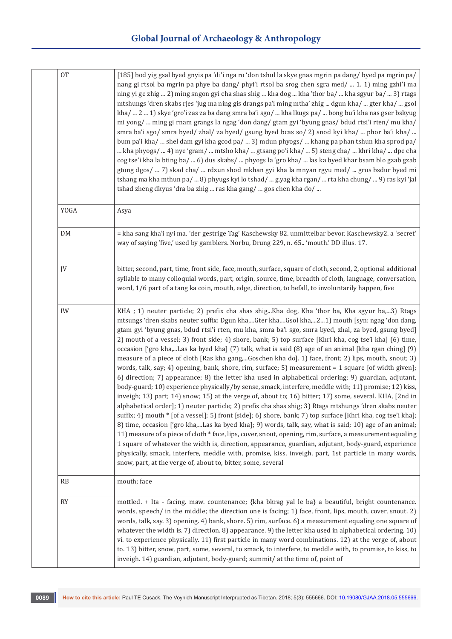| <b>OT</b> | [185] bod yig gsal byed gnyis pa 'di'i nga ro 'don tshul la skye gnas mgrin pa dang/ byed pa mgrin pa/<br>nang gi rtsol ba mgrin pa phye ba dang/ phyi'i rtsol ba srog chen sgra med/  1. 1) ming gzhi'i ma<br>ning yi ge zhig  2) ming sngon gyi cha shas shig  kha dog  kha 'thor ba/  kha sgyur ba/  3) rtags<br>mtshungs 'dren skabs rjes 'jug ma ning gis drangs pa'i ming mtha' zhig  dgun kha/  gter kha/  gsol<br>kha/  2  1) skye 'gro'i zas za ba dang smra ba'i sgo/  kha lkugs pa/  bong bu'i kha nas gser bskyug<br>mi yong/  ming gi rnam grangs la ngag 'don dang/ gtam gyi 'byung gnas/ bdud rtsi'i rten/ mu kha/<br>smra ba'i sgo/ smra byed/ zhal/ za byed/ gsung byed bcas so/ 2) snod kyi kha/  phor ba'i kha/<br>bum pa'i kha/  shel dam gyi kha gcod pa/  3) mdun phyogs/  khang pa phan tshun kha sprod pa/<br>kha phyogs/  4) nye 'gram/  mtsho kha/  gtsang po'i kha/  5) steng cha/  khri kha/  dpe cha<br>cog tse'i kha la bting ba/  6) dus skabs/  phyogs la 'gro kha/  las ka byed khar bsam blo gzab gzab<br>gtong dgos/  7) skad cha/  rdzun shod mkhan gyi kha la mnyan rgyu med/  gros bsdur byed mi<br>tshang ma kha mthun pa/ 8) phyugs kyi lo tshad/ g.yag kha rgan/ rta kha chung/ 9) ras kyi 'jal<br>tshad zheng dkyus 'dra ba zhig  ras kha gang/  gos chen kha do/                                                                                                                                                                                                                                                                                                                                                                                                                                                                                            |
|-----------|--------------------------------------------------------------------------------------------------------------------------------------------------------------------------------------------------------------------------------------------------------------------------------------------------------------------------------------------------------------------------------------------------------------------------------------------------------------------------------------------------------------------------------------------------------------------------------------------------------------------------------------------------------------------------------------------------------------------------------------------------------------------------------------------------------------------------------------------------------------------------------------------------------------------------------------------------------------------------------------------------------------------------------------------------------------------------------------------------------------------------------------------------------------------------------------------------------------------------------------------------------------------------------------------------------------------------------------------------------------------------------------------------------------------------------------------------------------------------------------------------------------------------------------------------------------------------------------------------------------------------------------------------------------------------------------------------------------------------------------------------------------------------------------------------------|
| YOGA      | Asya                                                                                                                                                                                                                                                                                                                                                                                                                                                                                                                                                                                                                                                                                                                                                                                                                                                                                                                                                                                                                                                                                                                                                                                                                                                                                                                                                                                                                                                                                                                                                                                                                                                                                                                                                                                                   |
| DM        | = kha sang kha'i nyi ma. 'der gestrige Tag' Kaschewsky 82. unmittelbar bevor. Kaschewsky2. a 'secret'<br>way of saying 'five,' used by gamblers. Norbu, Drung 229, n. 65 'mouth.' DD illus. 17.                                                                                                                                                                                                                                                                                                                                                                                                                                                                                                                                                                                                                                                                                                                                                                                                                                                                                                                                                                                                                                                                                                                                                                                                                                                                                                                                                                                                                                                                                                                                                                                                        |
| JV        | bitter, second, part, time, front side, face, mouth, surface, square of cloth, second, 2, optional additional<br>syllable to many colloquial words, part, origin, source, time, breadth of cloth, language, conversation,<br>word, 1/6 part of a tang ka coin, mouth, edge, direction, to befall, to involuntarily happen, five                                                                                                                                                                                                                                                                                                                                                                                                                                                                                                                                                                                                                                                                                                                                                                                                                                                                                                                                                                                                                                                                                                                                                                                                                                                                                                                                                                                                                                                                        |
| IW        | KHA ; 1) neuter particle; 2) prefix cha shas shigKha dog, Kha 'thor ba, Kha sgyur ba,3) Rtags<br>mtsungs 'dren skabs neuter suffix: Dgun kha,Gter kha,Gsol kha,21) mouth [syn: ngag 'don dang,<br>gtam gyi 'byung gnas, bdud rtsi'i rten, mu kha, smra ba'i sgo, smra byed, zhal, za byed, gsung byed]<br>2) mouth of a vessel; 3) front side; 4) shore, bank; 5) top surface [Khri kha, cog tse'i kha] (6) time,<br>occasion ['gro kha,Las ka byed kha] (7) talk, what is said (8) age of an animal [kha rgan ching] (9)<br>measure of a piece of cloth [Ras kha gang,Goschen kha do]. 1) face, front; 2) lips, mouth, snout; 3)<br>words, talk, say; 4) opening, bank, shore, rim, surface; 5) measurement = 1 square [of width given];<br>6) direction; 7) appearance; 8) the letter kha used in alphabetical ordering; 9) guardian, adjutant,<br>body-guard; 10) experience physically/by sense, smack, interfere, meddle with; 11) promise; 12) kiss,<br>inveigh; 13) part; 14) snow; 15) at the verge of, about to; 16) bitter; 17) some, several. KHA, [2nd in<br>alphabetical order]; 1) neuter particle; 2) prefix cha shas shig; 3) Rtags mtshungs 'dren skabs neuter<br>suffix; 4) mouth * [of a vessel]; 5) front [side]; 6) shore, bank; 7) top surface [Khri kha, cog tse'i kha];<br>8) time, occasion ['gro kha,Las ka byed kha]; 9) words, talk, say, what is said; 10) age of an animal;<br>11) measure of a piece of cloth * face, lips, cover, snout, opening, rim, surface, a measurement equaling<br>1 square of whatever the width is, direction, appearance, guardian, adjutant, body-guard, experience<br>physically, smack, interfere, meddle with, promise, kiss, inveigh, part, 1st particle in many words,<br>snow, part, at the verge of, about to, bitter, some, several |
| RB        | mouth; face                                                                                                                                                                                                                                                                                                                                                                                                                                                                                                                                                                                                                                                                                                                                                                                                                                                                                                                                                                                                                                                                                                                                                                                                                                                                                                                                                                                                                                                                                                                                                                                                                                                                                                                                                                                            |
| RY        | mottled. + lta - facing. maw. countenance; {kha bkrag yal le ba} a beautiful, bright countenance.<br>words, speech/ in the middle; the direction one is facing; 1) face, front, lips, mouth, cover, snout. 2)<br>words, talk, say. 3) opening. 4) bank, shore. 5) rim, surface. 6) a measurement equaling one square of<br>whatever the width is. 7) direction. 8) appearance. 9) the letter kha used in alphabetical ordering. 10)<br>vi. to experience physically. 11) first particle in many word combinations. 12) at the verge of, about<br>to. 13) bitter, snow, part, some, several, to smack, to interfere, to meddle with, to promise, to kiss, to<br>inveigh. 14) guardian, adjutant, body-guard; summit/ at the time of, point of                                                                                                                                                                                                                                                                                                                                                                                                                                                                                                                                                                                                                                                                                                                                                                                                                                                                                                                                                                                                                                                           |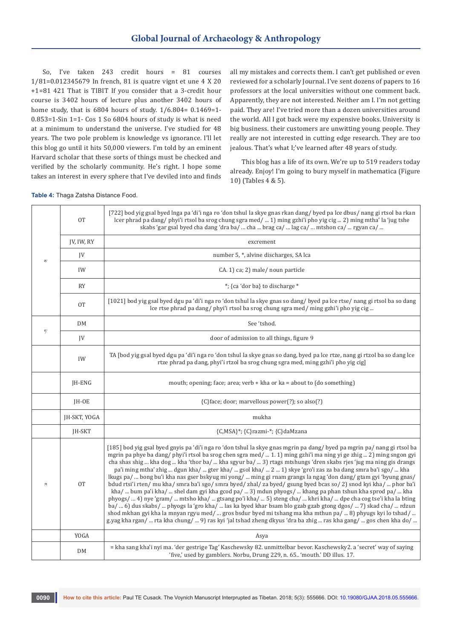So, I've taken 243 credit hours = 81 courses 1/81=0.012345679 In french, 81 is quatre vignt et une 4 X 20 +1=81 421 That is TIBIT If you consider that a 3-credit hour course is 3402 hours of lecture plus another 3402 hours of home study, that is 6804 hours of study. 1/6.804= 0.1469=1- 0.853=1-Sin 1=1- Cos 1 So 6804 hours of study is what is need at a minimum to understand the universe. I've studied for 48 years. The two pole problem is knowledge vs ignorance. I'll let this blog go until it hits 50,000 viewers. I'm told by an eminent Harvard scholar that these sorts of things must be checked and verified by the scholarly community. He's right. I hope some takes an interest in every sphere that I've deviled into and finds

all my mistakes and corrects them. I can't get published or even reviewed for a scholarly Journal. I've sent dozens of papers to 16 professors at the local universities without one comment back. Apparently, they are not interested. Neither am I. I'm not getting paid. They are! I've tried more than a dozen universities around the world. All I got back were my expensive books. University is big business. their customers are unwitting young people. They really are not interested in cutting edge research. They are too jealous. That's what I;'ve learned after 48 years of study.

This blog has a life of its own. We're up to 519 readers today already. Enjoy! I'm going to bury myself in mathematica (Figure 10) (Tables 4 & 5).

**Table 4:** Thaga Zatsha Distance Food.

|                | <b>OT</b>    | [722] bod yig gsal byed lnga pa 'di'i nga ro 'don tshul la skye gnas rkan dang/ byed pa lce dbus/ nang gi rtsol ba rkan<br>lcer phrad pa dang/ phyi'i rtsol ba srog chung sgra med/  1) ming gzhi'i pho yig cig  2) ming mtha' la 'jug tshe<br>skabs 'gar gsal byed cha dang 'dra ba/  cha  brag ca/  lag ca/  mtshon ca/  rgyan ca/                                                                                                                                                                                                                                                                                                                                                                                                                                                                                                                                                                                                                                                                                                                                                                                                                                                                                                                                                                     |  |  |  |  |
|----------------|--------------|----------------------------------------------------------------------------------------------------------------------------------------------------------------------------------------------------------------------------------------------------------------------------------------------------------------------------------------------------------------------------------------------------------------------------------------------------------------------------------------------------------------------------------------------------------------------------------------------------------------------------------------------------------------------------------------------------------------------------------------------------------------------------------------------------------------------------------------------------------------------------------------------------------------------------------------------------------------------------------------------------------------------------------------------------------------------------------------------------------------------------------------------------------------------------------------------------------------------------------------------------------------------------------------------------------|--|--|--|--|
|                | JV, IW, RY   | excrement                                                                                                                                                                                                                                                                                                                                                                                                                                                                                                                                                                                                                                                                                                                                                                                                                                                                                                                                                                                                                                                                                                                                                                                                                                                                                                |  |  |  |  |
| $\mathcal{Q}.$ | JV           | number 5, *, alvine discharges, SA lca                                                                                                                                                                                                                                                                                                                                                                                                                                                                                                                                                                                                                                                                                                                                                                                                                                                                                                                                                                                                                                                                                                                                                                                                                                                                   |  |  |  |  |
|                | IW           | CA. 1) ca; 2) male/ noun particle                                                                                                                                                                                                                                                                                                                                                                                                                                                                                                                                                                                                                                                                                                                                                                                                                                                                                                                                                                                                                                                                                                                                                                                                                                                                        |  |  |  |  |
|                | <b>RY</b>    | *; {ca 'dor ba} to discharge *                                                                                                                                                                                                                                                                                                                                                                                                                                                                                                                                                                                                                                                                                                                                                                                                                                                                                                                                                                                                                                                                                                                                                                                                                                                                           |  |  |  |  |
|                | 0T           | [1021] bod yig gsal byed dgu pa 'di'i nga ro 'don tshul la skye gnas so dang/byed pa lce rtse/nang gi rtsol ba so dang<br>lce rtse phrad pa dang/ phyi'i rtsol ba srog chung sgra med/ ming gzhi'i pho yig cig                                                                                                                                                                                                                                                                                                                                                                                                                                                                                                                                                                                                                                                                                                                                                                                                                                                                                                                                                                                                                                                                                           |  |  |  |  |
|                | DM           | See 'tshod.                                                                                                                                                                                                                                                                                                                                                                                                                                                                                                                                                                                                                                                                                                                                                                                                                                                                                                                                                                                                                                                                                                                                                                                                                                                                                              |  |  |  |  |
| 5              | JV           | door of admission to all things, figure 9                                                                                                                                                                                                                                                                                                                                                                                                                                                                                                                                                                                                                                                                                                                                                                                                                                                                                                                                                                                                                                                                                                                                                                                                                                                                |  |  |  |  |
|                | IW           | TA [bod yig gsal byed dgu pa 'di'i nga ro 'don tshul la skye gnas so dang, byed pa lce rtze, nang gi rtzol ba so dang lce<br>rtze phrad pa dang, phyi'i rtzol ba srog chung sgra med, ming gzhi'i pho yig cig]                                                                                                                                                                                                                                                                                                                                                                                                                                                                                                                                                                                                                                                                                                                                                                                                                                                                                                                                                                                                                                                                                           |  |  |  |  |
|                | JH-ENG       | mouth; opening; face; area; verb + kha or ka = about to (do something)                                                                                                                                                                                                                                                                                                                                                                                                                                                                                                                                                                                                                                                                                                                                                                                                                                                                                                                                                                                                                                                                                                                                                                                                                                   |  |  |  |  |
|                | JH-OE        | {C}face; door; marvellous power(?); so also(?)                                                                                                                                                                                                                                                                                                                                                                                                                                                                                                                                                                                                                                                                                                                                                                                                                                                                                                                                                                                                                                                                                                                                                                                                                                                           |  |  |  |  |
|                | JH-SKT, YOGA | mukha                                                                                                                                                                                                                                                                                                                                                                                                                                                                                                                                                                                                                                                                                                                                                                                                                                                                                                                                                                                                                                                                                                                                                                                                                                                                                                    |  |  |  |  |
|                | JH-SKT       | {C,MSA}*; {C}razmi-*; {C}daMzana                                                                                                                                                                                                                                                                                                                                                                                                                                                                                                                                                                                                                                                                                                                                                                                                                                                                                                                                                                                                                                                                                                                                                                                                                                                                         |  |  |  |  |
| $\sqrt{2}$     | 0T           | [185] bod yig gsal byed gnyis pa 'di'i nga ro 'don tshul la skye gnas mgrin pa dang/ byed pa mgrin pa/nang gi rtsol ba<br>mgrin pa phye ba dang/phyi'i rtsol ba srog chen sgra med/  1. 1) ming gzhi'i ma ning yi ge zhig  2) ming sngon gyi<br>cha shas shig  kha dog  kha 'thor ba/  kha sgyur ba/  3) rtags mtshungs 'dren skabs rjes 'jug ma ning gis drangs<br>pa'i ming mtha' zhig  dgun kha/  gter kha/  gsol kha/  2  1) skye 'gro'i zas za ba dang smra ba'i sgo/  kha<br>lkugs pa/  bong bu'i kha nas gser bskyug mi yong/  ming gi rnam grangs la ngag 'don dang/ gtam gyi 'byung gnas/<br>bdud rtsi'i rten/ mu kha/ smra ba'i sgo/ smra byed/ zhal/ za byed/ gsung byed bcas so/ 2) snod kyi kha/  phor ba'i<br>kha/  bum pa'i kha/  shel dam gyi kha gcod pa/  3) mdun phyogs/  khang pa phan tshun kha sprod pa/  kha<br>phyogs/  4) nye 'gram/  mtsho kha/  gtsang po'i kha/  5) steng cha/  khri kha/  dpe cha cog tse'i kha la bting<br>ba/  6) dus skabs/  phyogs la 'gro kha/  las ka byed khar bsam blo gzab gzab gtong dgos/  7) skad cha/  rdzun<br>shod mkhan gyi kha la mnyan rgyu med/  gros bsdur byed mi tshang ma kha mthun pa/  8) phyugs kyi lo tshad/<br>g.yag kha rgan/  rta kha chung/  9) ras kyi 'jal tshad zheng dkyus 'dra ba zhig  ras kha gang/  gos chen kha do/ |  |  |  |  |
|                | YOGA         | Asya                                                                                                                                                                                                                                                                                                                                                                                                                                                                                                                                                                                                                                                                                                                                                                                                                                                                                                                                                                                                                                                                                                                                                                                                                                                                                                     |  |  |  |  |
|                | <b>DM</b>    | = kha sang kha'i nyi ma. 'der gestrige Tag' Kaschewsky 82. unmittelbar bevor. Kaschewsky2. a 'secret' way of saying<br>'five,' used by gamblers. Norbu, Drung 229, n. 65 'mouth.' DD illus. 17.                                                                                                                                                                                                                                                                                                                                                                                                                                                                                                                                                                                                                                                                                                                                                                                                                                                                                                                                                                                                                                                                                                          |  |  |  |  |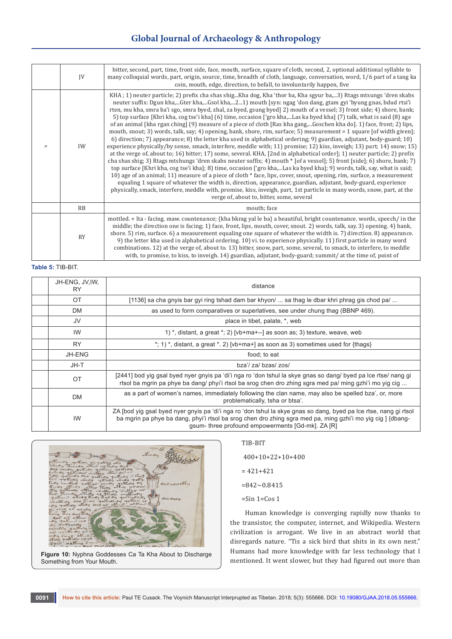# **Global Journal of Archaeology & Anthropology**

|   | IV        | bitter, second, part, time, front side, face, mouth, surface, square of cloth, second, 2, optional additional syllable to<br>many colloquial words, part, origin, source, time, breadth of cloth, language, conversation, word, 1/6 part of a tang ka<br>coin, mouth, edge, direction, to befall, to involuntarily happen, five                                                                                                                                                                                                                                                                                                                                                                                                                                                                                                                                                                                                                                                                                                                                                                                                                                                                                                                                                                                                                                                                                                                                                                                                                                                                                                                                                                                                                                                                 |
|---|-----------|-------------------------------------------------------------------------------------------------------------------------------------------------------------------------------------------------------------------------------------------------------------------------------------------------------------------------------------------------------------------------------------------------------------------------------------------------------------------------------------------------------------------------------------------------------------------------------------------------------------------------------------------------------------------------------------------------------------------------------------------------------------------------------------------------------------------------------------------------------------------------------------------------------------------------------------------------------------------------------------------------------------------------------------------------------------------------------------------------------------------------------------------------------------------------------------------------------------------------------------------------------------------------------------------------------------------------------------------------------------------------------------------------------------------------------------------------------------------------------------------------------------------------------------------------------------------------------------------------------------------------------------------------------------------------------------------------------------------------------------------------------------------------------------------------|
| 囚 | IW        | KHA; 1) neuter particle; 2) prefix cha shas shigKha dog, Kha 'thor ba, Kha sgyur ba,3) Rtags mtsungs 'dren skabs<br>neuter suffix: Dgun kha,Gter kha,Gsol kha,21) mouth [syn: ngag 'don dang, gtam gyi 'byung gnas, bdud rtsi'i<br>rten, mu kha, smra ba'i sgo, smra byed, zhal, za byed, gsung byed] 2) mouth of a vessel; 3) front side; 4) shore, bank;<br>5) top surface [Khri kha, cog tse'i kha] (6) time, occasion ['gro kha,Las ka byed kha] (7) talk, what is said (8) age<br>of an animal [kha rgan ching] (9) measure of a piece of cloth [Ras kha gang,Goschen kha do]. 1) face, front; 2) lips,<br>mouth, snout; 3) words, talk, say; 4) opening, bank, shore, rim, surface; 5) measurement = 1 square [of width given];<br>6) direction; 7) appearance; 8) the letter kha used in alphabetical ordering; 9) guardian, adjutant, body-guard; 10)<br>experience physically/by sense, smack, interfere, meddle with; 11) promise; 12) kiss, inveigh; 13) part; 14) snow; 15)<br>at the verge of, about to; 16) bitter; 17) some, several. KHA, [2nd in alphabetical order]; 1) neuter particle; 2) prefix<br>cha shas shig; 3) Rtags mtshungs 'dren skabs neuter suffix; 4) mouth * [of a vessel]; 5) front [side]; 6) shore, bank; 7)<br>top surface [Khri kha, cog tse'i kha]; 8) time, occasion ['gro kha,Las ka byed kha]; 9) words, talk, say, what is said;<br>10) age of an animal; 11) measure of a piece of cloth * face, lips, cover, snout, opening, rim, surface, a measurement<br>equaling 1 square of whatever the width is, direction, appearance, guardian, adjutant, body-guard, experience<br>physically, smack, interfere, meddle with, promise, kiss, inveigh, part, 1st particle in many words, snow, part, at the<br>verge of, about to, bitter, some, several |
|   | RB        | mouth; face                                                                                                                                                                                                                                                                                                                                                                                                                                                                                                                                                                                                                                                                                                                                                                                                                                                                                                                                                                                                                                                                                                                                                                                                                                                                                                                                                                                                                                                                                                                                                                                                                                                                                                                                                                                     |
|   | <b>RY</b> | mottled. + lta - facing. maw. countenance; {kha bkrag yal le ba} a beautiful, bright countenance. words, speech/ in the<br>middle; the direction one is facing; 1) face, front, lips, mouth, cover, snout. 2) words, talk, say. 3) opening. 4) bank,<br>shore. 5) rim, surface. 6) a measurement equaling one square of whatever the width is. 7) direction. 8) appearance.<br>9) the letter kha used in alphabetical ordering. 10) vi. to experience physically. 11) first particle in many word<br>combinations. 12) at the verge of, about to. 13) bitter, snow, part, some, several, to smack, to interfere, to meddle<br>with, to promise, to kiss, to inveigh. 14) guardian, adjutant, body-guard; summit/ at the time of, point of                                                                                                                                                                                                                                                                                                                                                                                                                                                                                                                                                                                                                                                                                                                                                                                                                                                                                                                                                                                                                                                       |

# **Table 5:** TIB-BIT.

| JH-ENG, JV, IW,<br>RY | distance                                                                                                                                                                                                                                                                              |
|-----------------------|---------------------------------------------------------------------------------------------------------------------------------------------------------------------------------------------------------------------------------------------------------------------------------------|
| OT                    | [1136] sa cha gnyis bar gyi ring tshad dam bar khyon/  sa thag le dbar khri phrag gis chod pa/                                                                                                                                                                                        |
| <b>DM</b>             | as used to form comparatives or superlatives, see under chung thag (BBNP 469).                                                                                                                                                                                                        |
| JV                    | place in tibet, palate, *, web                                                                                                                                                                                                                                                        |
| IW                    | 1) *, distant, a great $*$ ; 2) [vb+ma+--] as soon as; 3) texture, weave, web                                                                                                                                                                                                         |
| <b>RY</b>             | *; 1) *, distant, a great *. 2) [vb+ma+] as soon as 3) sometimes used for {thags}                                                                                                                                                                                                     |
| JH-ENG                | food; to eat                                                                                                                                                                                                                                                                          |
| JH-T                  | bza'/za/bzas/zos/                                                                                                                                                                                                                                                                     |
| OT                    | [2441] bod yig gsal byed nyer gnyis pa 'di'i nga ro 'don tshul la skye gnas so dang/ byed pa lce rtse/ nang gi<br>rtsol ba mgrin pa phye ba dang/ phyi'i rtsol ba srog chen dro zhing sgra med pa/ ming gzhi'i mo yig cig                                                             |
| <b>DM</b>             | as a part of women's names, immediately following the clan name, may also be spelled bza', or, more<br>problematically, tsha or btsa'.                                                                                                                                                |
| IW                    | ZA [bod yig gsal byed nyer gnyis pa 'di'i nga ro 'don tshul la skye gnas so dang, byed pa Ice rtse, nang gi rtsol<br>ba mgrin pa phye ba dang, phyi'i rtsol ba srog chen dro zhing sgra med pa, ming gzhi'i mo yig cig ] {dbang-<br>gsum- three profound empowerments [Gd-mk]. ZA [R] |



**Figure 10:** Nyphna Goddesses Ca Ta Kha About to Discharge Something from Your Mouth.

#### TIB-BIT

400+10+22+10+400

$$
= 421 + 421
$$

 $=842 \times 0.8415$ 

 $=$ Sin 1 $=$ Cos 1

 Human knowledge is converging rapidly now thanks to the transistor, the computer, internet, and Wikipedia. Western civilization is arrogant. We live in an abstract world that disregards nature. "Tis a sick bird that shits in its own nest." Humans had more knowledge with far less technology that I mentioned. It went slower, but they had figured out more than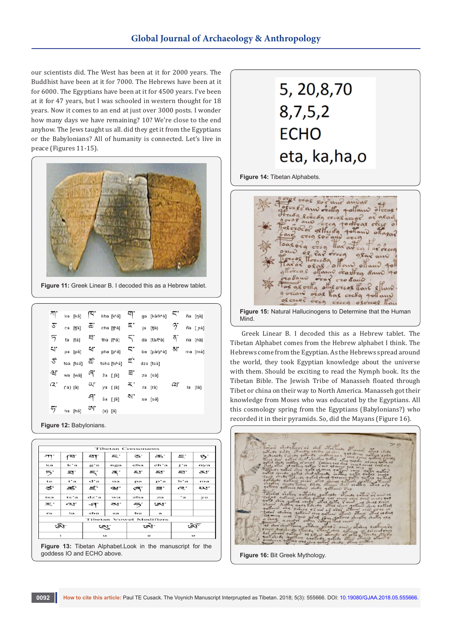our scientists did. The West has been at it for 2000 years. The Buddhist have been at it for 7000. The Hebrews have been at it for 6000. The Egyptians have been at it for 4500 years. I've been at it for 47 years, but I was schooled in western thought for 18 years. Now it comes to an end at just over 3000 posts. I wonder how many days we have remaining? 10? We're close to the end anyhow. The Jews taught us all. did they get it from the Egyptians or the Babylonians? All of humanity is connected. Let's live in peace (Figures 11-15).



**Figure 11:** Greek Linear B. I decoded this as a Hebrew tablet.

| गा                             | ka [ká]   | k.  | kha [kʰá] — 디     |                                            | ga [kà/kʰà] |     | ña [ŋà]    |
|--------------------------------|-----------|-----|-------------------|--------------------------------------------|-------------|-----|------------|
| 2.                             | ca [tʃá]  | Ψ.  | cha [tʰá]         | Ε.                                         | ja [tʃà}    | 3,  | ña [ɲà]    |
| 5                              | ta [tá]   | Е.  | tha [tʰá]         | 5.                                         | da [tà/tʰà] | द'  | na [nà]    |
| zi.                            | pa [pá]   | 데.  | pha [pʰá]         | 디.                                         | ba [pà/pʰà] | শ.  | ma [mà]    |
| చో                             | tsa [tsá] | æ,  | tsha [tsʰá]       | Ξ.                                         | dza [tsà]   |     |            |
| 최.                             | wa [wà]   | ৰ   | ža [ʃà]           | Ξ.                                         | za [sà]     |     |            |
| ι5.                            | ('a) [a]  | cη. | ya [jà]           | ≍.                                         | ra [rà]     | (2) | [là]<br>la |
|                                |           | '라  | ša [ʃá]           | .</td <td>sa [sá]</td> <td></td> <td></td> | sa [sá]     |     |            |
| 5,                             | ha [há]   | QΛ. | $(a)$ $[\hat{a}]$ |                                            |             |     |            |
| <b>Figure 12: Babylonians.</b> |           |     |                   |                                            |             |     |            |

| <b>Tibetan Consonants</b>                                         |                        |              |     |                                |              |         |                |  |  |
|-------------------------------------------------------------------|------------------------|--------------|-----|--------------------------------|--------------|---------|----------------|--|--|
|                                                                   | নে                     | না           | ≂.  | ਣ′                             | ਣਾ           | E.      | ొ              |  |  |
| ka                                                                | k'a                    | g'a          | nga | cha                            | ch'a         | j'a     | nya            |  |  |
| ᠊ᡏ                                                                | হা`                    | ≂.           | रू: | zr                             | ∠ৰ*          | ব'      | aur            |  |  |
| ta                                                                | t'a                    | d'a          | na  | $_{pa}$                        | p'a          | b'a     | ma             |  |  |
| ಕ್                                                                | ಹ್                     | ξĒ           | Ħ.  | ৰে                             | ੜਾ           | s.      | w              |  |  |
| tsa                                                               | ts'a                   | $dz$ 'a      | wa  | zha                            | za           | *a      | $\mathbf{v}$ a |  |  |
| エ.                                                                | cυ.                    | -প           | zv. | ನ್                             | জা           |         |                |  |  |
| ra                                                                | la                     | sha          | sa  | ha                             | $\mathbf{a}$ |         |                |  |  |
|                                                                   |                        |              |     | <b>Tibetan Vowel Modifiers</b> |              |         |                |  |  |
|                                                                   | জী<br>জৌ<br>জা<br>ত্যে |              |     |                                |              |         |                |  |  |
| ÷                                                                 |                        | $\mathbf{u}$ |     |                                | $\circ$      | $\circ$ |                |  |  |
| <b>Figure 13:</b> Tibetan Alphabet.Look in the manuscript for the |                        |              |     |                                |              |         |                |  |  |

goddess IO and ECHO above.

5, 20, 8, 70  $8,7,5,2$ **ECHO** eta, ka, ha, o

**Figure 14:** Tibetan Alphabets.



Greek Linear B. I decoded this as a Hebrew tablet. The Tibetan Alphabet comes from the Hebrew alphabet I think. The Hebrews come from the Egyptian. As the Hebrews spread around the world, they took Egyptian knowledge about the universe with them. Should be exciting to read the Nymph book. Its the Tibetan Bible. The Jewish Tribe of Manasseh floated through Tibet or china on their way to North America. Manasseh got their knowledge from Moses who was educated by the Egyptians. All this cosmology spring from the Egyptians (Babylonians?) who recorded it in their pyramids. So, did the Mayans (Figure 16).



**Figure 16:** Bit Greek Mythology.